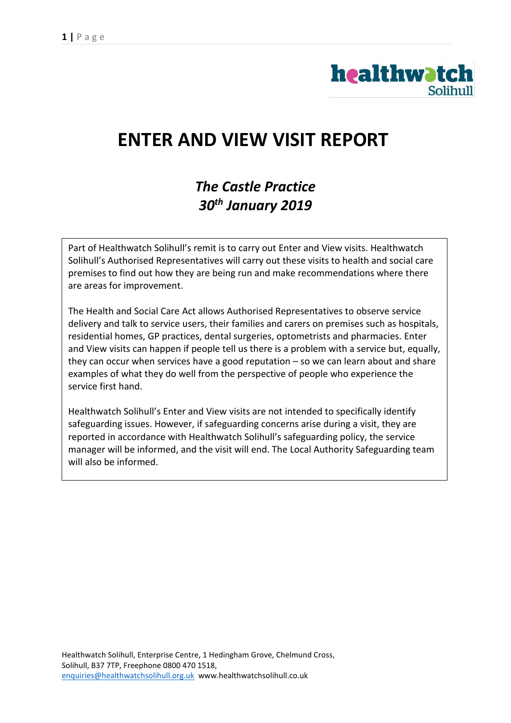

# **ENTER AND VIEW VISIT REPORT**

## *The Castle Practice 30th January 2019*

Part of Healthwatch Solihull's remit is to carry out Enter and View visits. Healthwatch Solihull's Authorised Representatives will carry out these visits to health and social care premises to find out how they are being run and make recommendations where there are areas for improvement.

The Health and Social Care Act allows Authorised Representatives to observe service delivery and talk to service users, their families and carers on premises such as hospitals, residential homes, GP practices, dental surgeries, optometrists and pharmacies. Enter and View visits can happen if people tell us there is a problem with a service but, equally, they can occur when services have a good reputation  $-$  so we can learn about and share examples of what they do well from the perspective of people who experience the service first hand.

Healthwatch Solihull's Enter and View visits are not intended to specifically identify safeguarding issues. However, if safeguarding concerns arise during a visit, they are reported in accordance with Healthwatch Solihull's safeguarding policy, the service manager will be informed, and the visit will end. The Local Authority Safeguarding team will also be informed.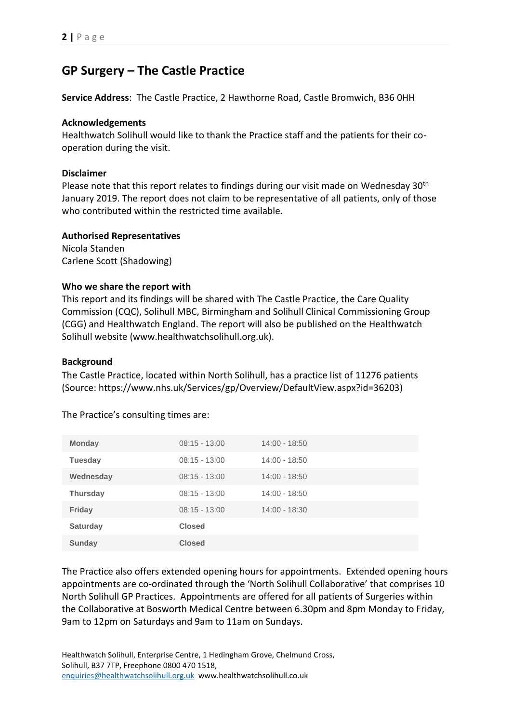### **GP Surgery – The Castle Practice**

**Service Address**: The Castle Practice, 2 Hawthorne Road, Castle Bromwich, B36 0HH

#### **Acknowledgements**

Healthwatch Solihull would like to thank the Practice staff and the patients for their cooperation during the visit.

#### **Disclaimer**

Please note that this report relates to findings during our visit made on Wednesday 30<sup>th</sup> January 2019. The report does not claim to be representative of all patients, only of those who contributed within the restricted time available.

#### **Authorised Representatives**

Nicola Standen Carlene Scott (Shadowing)

#### **Who we share the report with**

This report and its findings will be shared with The Castle Practice, the Care Quality Commission (CQC), Solihull MBC, Birmingham and Solihull Clinical Commissioning Group (CGG) and Healthwatch England. The report will also be published on the Healthwatch Solihull website (www.healthwatchsolihull.org.uk).

#### **Background**

The Castle Practice, located within North Solihull, has a practice list of 11276 patients (Source: https://www.nhs.uk/Services/gp/Overview/DefaultView.aspx?id=36203)

| <b>Monday</b>   | $08:15 - 13:00$ | $14:00 - 18:50$ |
|-----------------|-----------------|-----------------|
| <b>Tuesday</b>  | $08:15 - 13:00$ | $14:00 - 18:50$ |
| Wednesday       | $08:15 - 13:00$ | $14:00 - 18:50$ |
| <b>Thursday</b> | $08:15 - 13:00$ | $14:00 - 18:50$ |
| Friday          | $08:15 - 13:00$ | $14:00 - 18:30$ |
| <b>Saturday</b> | <b>Closed</b>   |                 |
| Sunday          | <b>Closed</b>   |                 |

The Practice's consulting times are:

The Practice also offers extended opening hours for appointments. Extended opening hours appointments are co-ordinated through the 'North Solihull Collaborative' that comprises 10 North Solihull GP Practices. Appointments are offered for all patients of Surgeries within the Collaborative at Bosworth Medical Centre between 6.30pm and 8pm Monday to Friday, 9am to 12pm on Saturdays and 9am to 11am on Sundays.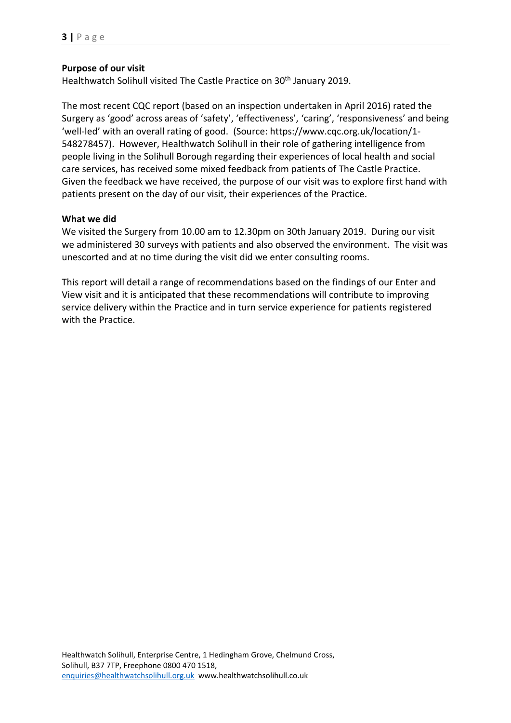#### **Purpose of our visit**

Healthwatch Solihull visited The Castle Practice on 30<sup>th</sup> January 2019.

The most recent CQC report (based on an inspection undertaken in April 2016) rated the Surgery as 'good' across areas of 'safety', 'effectiveness', 'caring', 'responsiveness' and being 'well-led' with an overall rating of good. (Source: https://www.cqc.org.uk/location/1- 548278457). However, Healthwatch Solihull in their role of gathering intelligence from people living in the Solihull Borough regarding their experiences of local health and social care services, has received some mixed feedback from patients of The Castle Practice. Given the feedback we have received, the purpose of our visit was to explore first hand with patients present on the day of our visit, their experiences of the Practice.

#### **What we did**

We visited the Surgery from 10.00 am to 12.30pm on 30th January 2019. During our visit we administered 30 surveys with patients and also observed the environment. The visit was unescorted and at no time during the visit did we enter consulting rooms.

This report will detail a range of recommendations based on the findings of our Enter and View visit and it is anticipated that these recommendations will contribute to improving service delivery within the Practice and in turn service experience for patients registered with the Practice.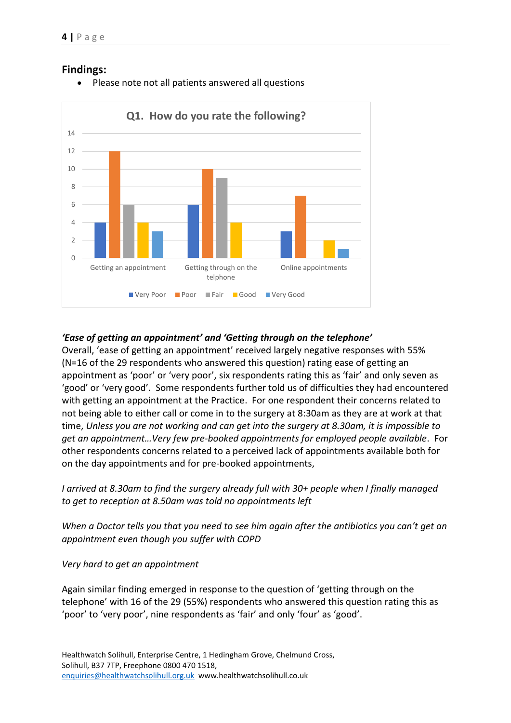

• Please note not all patients answered all questions



#### *'Ease of getting an appointment' and 'Getting through on the telephone'*

Overall, 'ease of getting an appointment' received largely negative responses with 55% (N=16 of the 29 respondents who answered this question) rating ease of getting an appointment as 'poor' or 'very poor', six respondents rating this as 'fair' and only seven as 'good' or 'very good'. Some respondents further told us of difficulties they had encountered with getting an appointment at the Practice. For one respondent their concerns related to not being able to either call or come in to the surgery at 8:30am as they are at work at that time, *Unless you are not working and can get into the surgery at 8.30am, it is impossible to get an appointment…Very few pre-booked appointments for employed people available*. For other respondents concerns related to a perceived lack of appointments available both for on the day appointments and for pre-booked appointments,

*I arrived at 8.30am to find the surgery already full with 30+ people when I finally managed to get to reception at 8.50am was told no appointments left*

*When a Doctor tells you that you need to see him again after the antibiotics you can't get an appointment even though you suffer with COPD*

*Very hard to get an appointment*

Again similar finding emerged in response to the question of 'getting through on the telephone' with 16 of the 29 (55%) respondents who answered this question rating this as 'poor' to 'very poor', nine respondents as 'fair' and only 'four' as 'good'.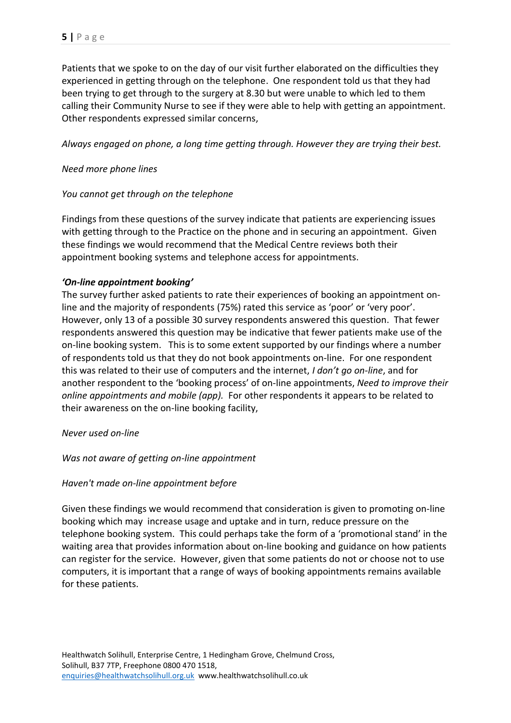Patients that we spoke to on the day of our visit further elaborated on the difficulties they experienced in getting through on the telephone. One respondent told us that they had been trying to get through to the surgery at 8.30 but were unable to which led to them calling their Community Nurse to see if they were able to help with getting an appointment. Other respondents expressed similar concerns,

*Always engaged on phone, a long time getting through. However they are trying their best.*

#### *Need more phone lines*

#### *You cannot get through on the telephone*

Findings from these questions of the survey indicate that patients are experiencing issues with getting through to the Practice on the phone and in securing an appointment. Given these findings we would recommend that the Medical Centre reviews both their appointment booking systems and telephone access for appointments.

#### *'On-line appointment booking'*

The survey further asked patients to rate their experiences of booking an appointment online and the majority of respondents (75%) rated this service as 'poor' or 'very poor'. However, only 13 of a possible 30 survey respondents answered this question. That fewer respondents answered this question may be indicative that fewer patients make use of the on-line booking system. This is to some extent supported by our findings where a number of respondents told us that they do not book appointments on-line. For one respondent this was related to their use of computers and the internet, *I don't go on-line*, and for another respondent to the 'booking process' of on-line appointments, *Need to improve their online appointments and mobile (app).* For other respondents it appears to be related to their awareness on the on-line booking facility,

#### *Never used on-line*

*Was not aware of getting on-line appointment*

#### *Haven't made on-line appointment before*

Given these findings we would recommend that consideration is given to promoting on-line booking which may increase usage and uptake and in turn, reduce pressure on the telephone booking system. This could perhaps take the form of a 'promotional stand' in the waiting area that provides information about on-line booking and guidance on how patients can register for the service. However, given that some patients do not or choose not to use computers, it is important that a range of ways of booking appointments remains available for these patients.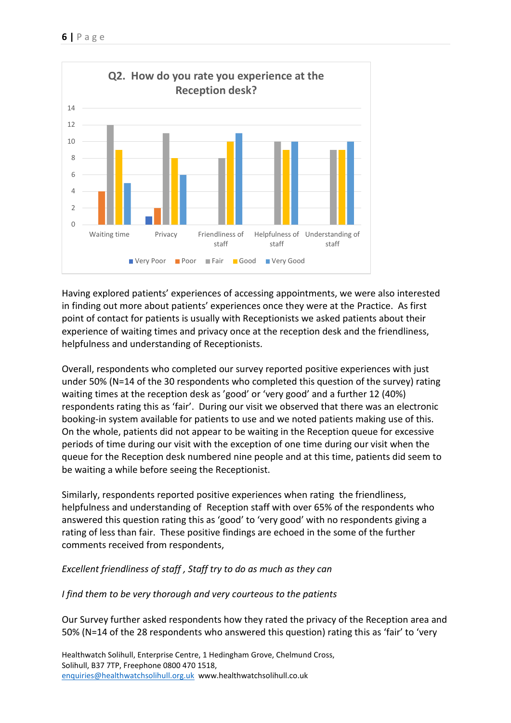

Having explored patients' experiences of accessing appointments, we were also interested in finding out more about patients' experiences once they were at the Practice. As first point of contact for patients is usually with Receptionists we asked patients about their experience of waiting times and privacy once at the reception desk and the friendliness, helpfulness and understanding of Receptionists.

Overall, respondents who completed our survey reported positive experiences with just under 50% (N=14 of the 30 respondents who completed this question of the survey) rating waiting times at the reception desk as 'good' or 'very good' and a further 12 (40%) respondents rating this as 'fair'. During our visit we observed that there was an electronic booking-in system available for patients to use and we noted patients making use of this. On the whole, patients did not appear to be waiting in the Reception queue for excessive periods of time during our visit with the exception of one time during our visit when the queue for the Reception desk numbered nine people and at this time, patients did seem to be waiting a while before seeing the Receptionist.

Similarly, respondents reported positive experiences when rating the friendliness, helpfulness and understanding of Reception staff with over 65% of the respondents who answered this question rating this as 'good' to 'very good' with no respondents giving a rating of less than fair. These positive findings are echoed in the some of the further comments received from respondents,

#### *Excellent friendliness of staff , Staff try to do as much as they can*

#### *I find them to be very thorough and very courteous to the patients*

Our Survey further asked respondents how they rated the privacy of the Reception area and 50% (N=14 of the 28 respondents who answered this question) rating this as 'fair' to 'very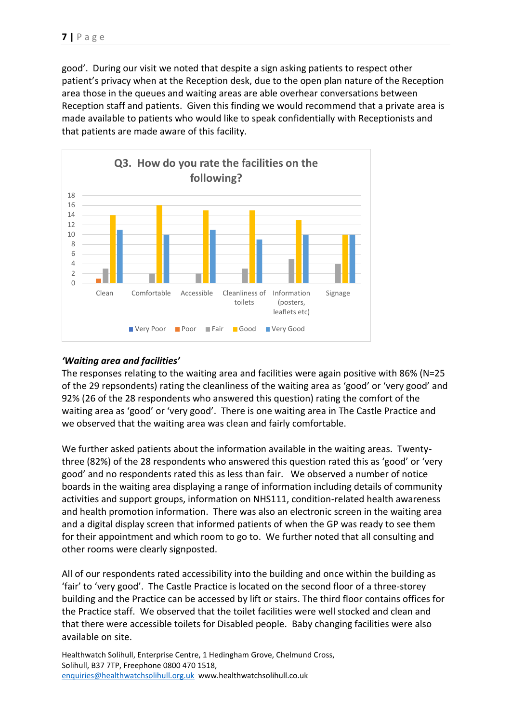good'. During our visit we noted that despite a sign asking patients to respect other patient's privacy when at the Reception desk, due to the open plan nature of the Reception area those in the queues and waiting areas are able overhear conversations between Reception staff and patients. Given this finding we would recommend that a private area is made available to patients who would like to speak confidentially with Receptionists and that patients are made aware of this facility.



#### *'Waiting area and facilities'*

The responses relating to the waiting area and facilities were again positive with 86% (N=25 of the 29 repsondents) rating the cleanliness of the waiting area as 'good' or 'very good' and 92% (26 of the 28 respondents who answered this question) rating the comfort of the waiting area as 'good' or 'very good'. There is one waiting area in The Castle Practice and we observed that the waiting area was clean and fairly comfortable.

We further asked patients about the information available in the waiting areas. Twentythree (82%) of the 28 respondents who answered this question rated this as 'good' or 'very good' and no respondents rated this as less than fair. We observed a number of notice boards in the waiting area displaying a range of information including details of community activities and support groups, information on NHS111, condition-related health awareness and health promotion information. There was also an electronic screen in the waiting area and a digital display screen that informed patients of when the GP was ready to see them for their appointment and which room to go to. We further noted that all consulting and other rooms were clearly signposted.

All of our respondents rated accessibility into the building and once within the building as 'fair' to 'very good'. The Castle Practice is located on the second floor of a three-storey building and the Practice can be accessed by lift or stairs. The third floor contains offices for the Practice staff. We observed that the toilet facilities were well stocked and clean and that there were accessible toilets for Disabled people. Baby changing facilities were also available on site.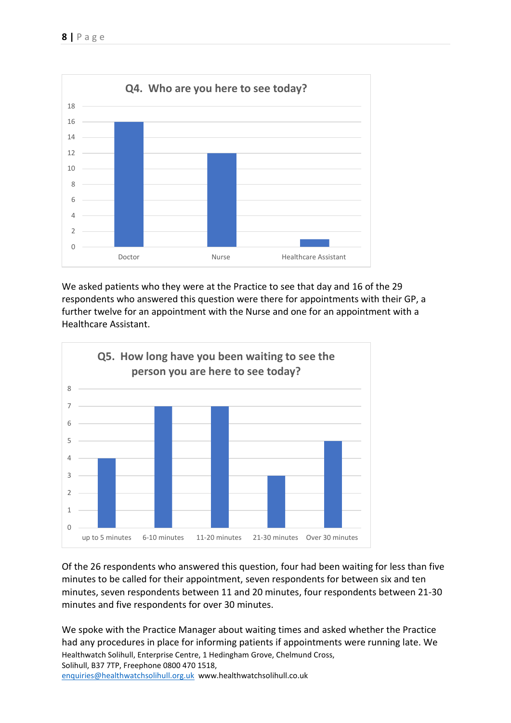

We asked patients who they were at the Practice to see that day and 16 of the 29 respondents who answered this question were there for appointments with their GP, a further twelve for an appointment with the Nurse and one for an appointment with a Healthcare Assistant.



Of the 26 respondents who answered this question, four had been waiting for less than five minutes to be called for their appointment, seven respondents for between six and ten minutes, seven respondents between 11 and 20 minutes, four respondents between 21-30 minutes and five respondents for over 30 minutes.

Healthwatch Solihull, Enterprise Centre, 1 Hedingham Grove, Chelmund Cross, Solihull, B37 7TP, Freephone 0800 470 1518, [enquiries@healthwatchsolihull.org.uk](mailto:enquiries@healthwatchsolihull.org.uk) www.healthwatchsolihull.co.uk We spoke with the Practice Manager about waiting times and asked whether the Practice had any procedures in place for informing patients if appointments were running late. We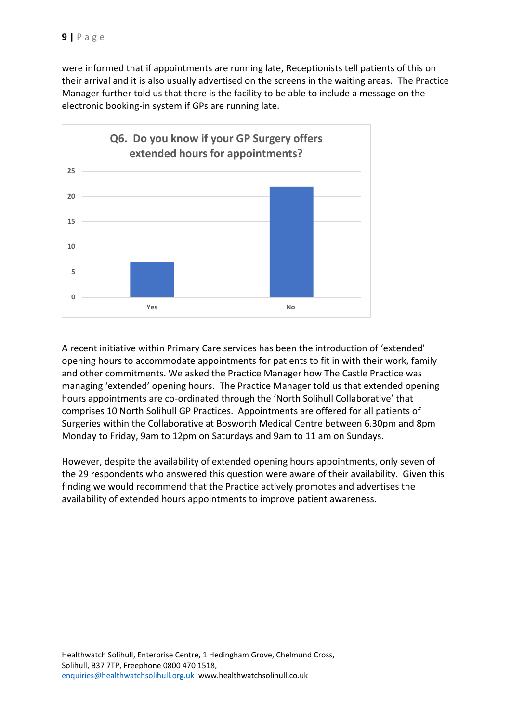were informed that if appointments are running late, Receptionists tell patients of this on their arrival and it is also usually advertised on the screens in the waiting areas. The Practice Manager further told us that there is the facility to be able to include a message on the electronic booking-in system if GPs are running late.



A recent initiative within Primary Care services has been the introduction of 'extended' opening hours to accommodate appointments for patients to fit in with their work, family and other commitments. We asked the Practice Manager how The Castle Practice was managing 'extended' opening hours. The Practice Manager told us that extended opening hours appointments are co-ordinated through the 'North Solihull Collaborative' that comprises 10 North Solihull GP Practices. Appointments are offered for all patients of Surgeries within the Collaborative at Bosworth Medical Centre between 6.30pm and 8pm Monday to Friday, 9am to 12pm on Saturdays and 9am to 11 am on Sundays.

However, despite the availability of extended opening hours appointments, only seven of the 29 respondents who answered this question were aware of their availability. Given this finding we would recommend that the Practice actively promotes and advertises the availability of extended hours appointments to improve patient awareness.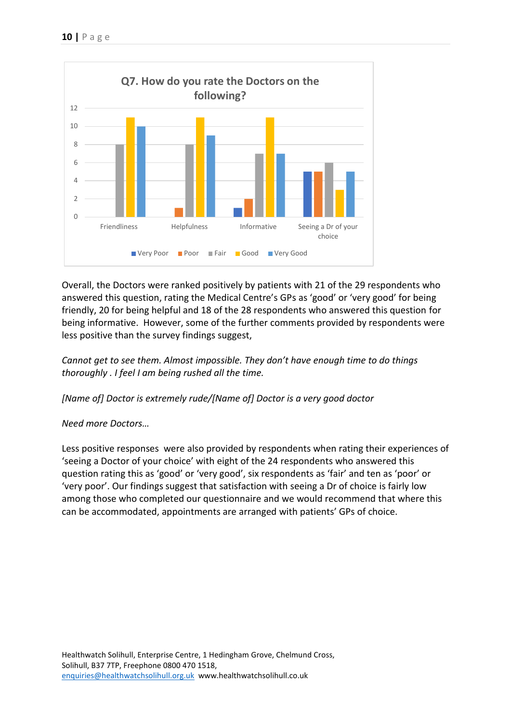

Overall, the Doctors were ranked positively by patients with 21 of the 29 respondents who answered this question, rating the Medical Centre's GPs as 'good' or 'very good' for being friendly, 20 for being helpful and 18 of the 28 respondents who answered this question for being informative. However, some of the further comments provided by respondents were less positive than the survey findings suggest,

*Cannot get to see them. Almost impossible. They don't have enough time to do things thoroughly . I feel I am being rushed all the time.*

*[Name of] Doctor is extremely rude/[Name of] Doctor is a very good doctor*

#### *Need more Doctors…*

Less positive responses were also provided by respondents when rating their experiences of 'seeing a Doctor of your choice' with eight of the 24 respondents who answered this question rating this as 'good' or 'very good', six respondents as 'fair' and ten as 'poor' or 'very poor'. Our findings suggest that satisfaction with seeing a Dr of choice is fairly low among those who completed our questionnaire and we would recommend that where this can be accommodated, appointments are arranged with patients' GPs of choice.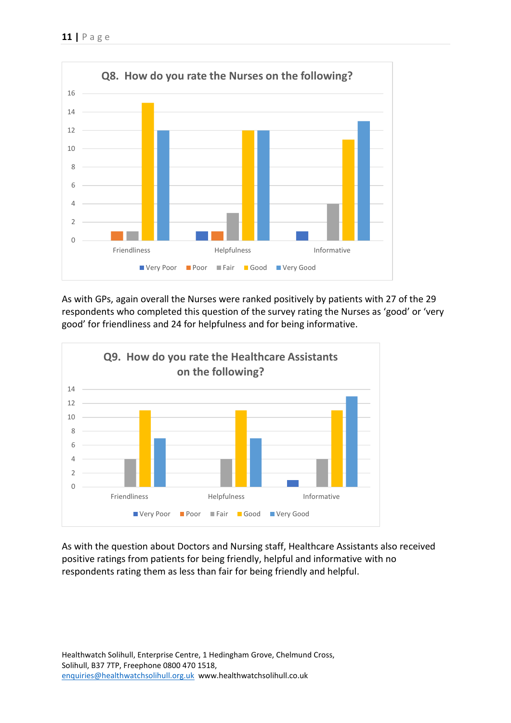

As with GPs, again overall the Nurses were ranked positively by patients with 27 of the 29 respondents who completed this question of the survey rating the Nurses as 'good' or 'very good' for friendliness and 24 for helpfulness and for being informative.



As with the question about Doctors and Nursing staff, Healthcare Assistants also received positive ratings from patients for being friendly, helpful and informative with no respondents rating them as less than fair for being friendly and helpful.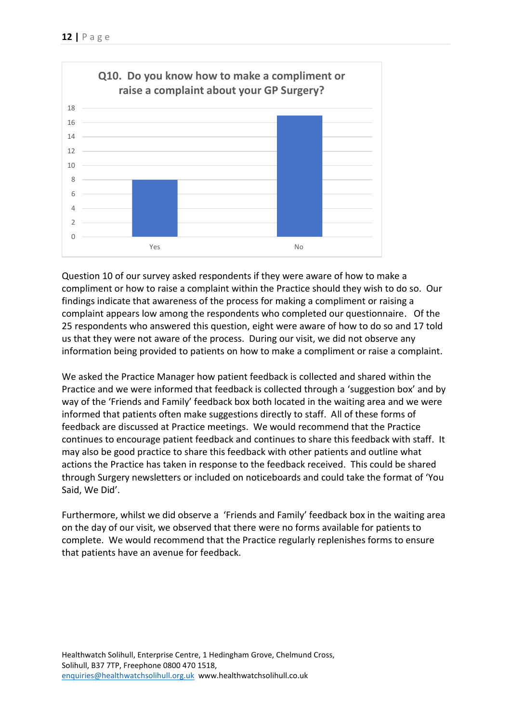

Question 10 of our survey asked respondents if they were aware of how to make a compliment or how to raise a complaint within the Practice should they wish to do so. Our findings indicate that awareness of the process for making a compliment or raising a complaint appears low among the respondents who completed our questionnaire. Of the 25 respondents who answered this question, eight were aware of how to do so and 17 told us that they were not aware of the process. During our visit, we did not observe any information being provided to patients on how to make a compliment or raise a complaint.

We asked the Practice Manager how patient feedback is collected and shared within the Practice and we were informed that feedback is collected through a 'suggestion box' and by way of the 'Friends and Family' feedback box both located in the waiting area and we were informed that patients often make suggestions directly to staff. All of these forms of feedback are discussed at Practice meetings. We would recommend that the Practice continues to encourage patient feedback and continues to share this feedback with staff. It may also be good practice to share this feedback with other patients and outline what actions the Practice has taken in response to the feedback received. This could be shared through Surgery newsletters or included on noticeboards and could take the format of 'You Said, We Did'.

Furthermore, whilst we did observe a 'Friends and Family' feedback box in the waiting area on the day of our visit, we observed that there were no forms available for patients to complete. We would recommend that the Practice regularly replenishes forms to ensure that patients have an avenue for feedback.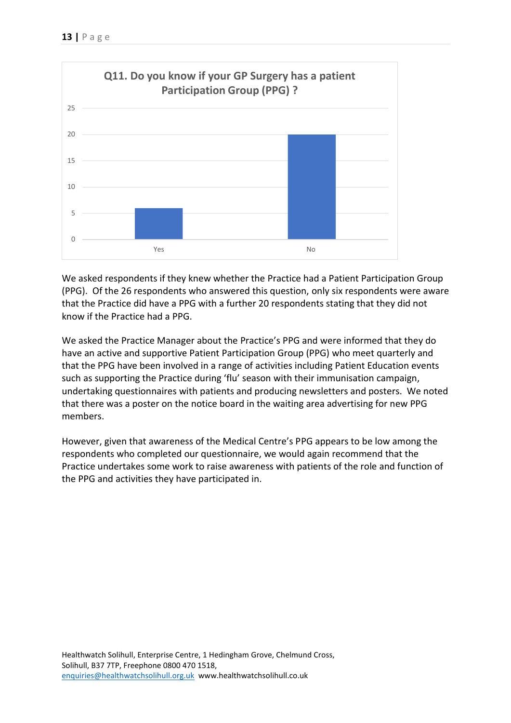

We asked respondents if they knew whether the Practice had a Patient Participation Group (PPG). Of the 26 respondents who answered this question, only six respondents were aware that the Practice did have a PPG with a further 20 respondents stating that they did not know if the Practice had a PPG.

We asked the Practice Manager about the Practice's PPG and were informed that they do have an active and supportive Patient Participation Group (PPG) who meet quarterly and that the PPG have been involved in a range of activities including Patient Education events such as supporting the Practice during 'flu' season with their immunisation campaign, undertaking questionnaires with patients and producing newsletters and posters. We noted that there was a poster on the notice board in the waiting area advertising for new PPG members.

However, given that awareness of the Medical Centre's PPG appears to be low among the respondents who completed our questionnaire, we would again recommend that the Practice undertakes some work to raise awareness with patients of the role and function of the PPG and activities they have participated in.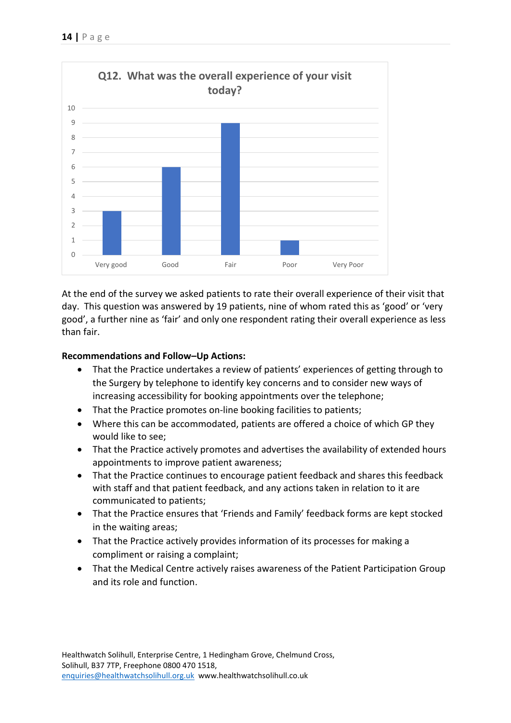

At the end of the survey we asked patients to rate their overall experience of their visit that day. This question was answered by 19 patients, nine of whom rated this as 'good' or 'very good', a further nine as 'fair' and only one respondent rating their overall experience as less than fair.

#### **Recommendations and Follow–Up Actions:**

- That the Practice undertakes a review of patients' experiences of getting through to the Surgery by telephone to identify key concerns and to consider new ways of increasing accessibility for booking appointments over the telephone;
- That the Practice promotes on-line booking facilities to patients;
- Where this can be accommodated, patients are offered a choice of which GP they would like to see;
- That the Practice actively promotes and advertises the availability of extended hours appointments to improve patient awareness;
- That the Practice continues to encourage patient feedback and shares this feedback with staff and that patient feedback, and any actions taken in relation to it are communicated to patients;
- That the Practice ensures that 'Friends and Family' feedback forms are kept stocked in the waiting areas;
- That the Practice actively provides information of its processes for making a compliment or raising a complaint;
- That the Medical Centre actively raises awareness of the Patient Participation Group and its role and function.